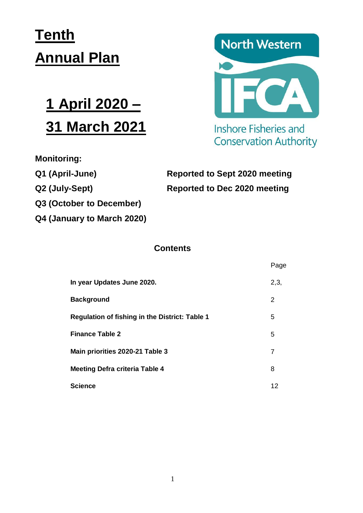# **Tenth Annual Plan**

# **1 April 2020 – 31 March 2021**

**Monitoring:** 

**Q3 (October to December)**

**Q4 (January to March 2020)**



**Inshore Fisheries and Conservation Authority** 

# **Q1 (April-June) Reported to Sept 2020 meeting Q2 (July-Sept) Reported to Dec 2020 meeting**

# **Contents**

|                                                       | Page |
|-------------------------------------------------------|------|
| In year Updates June 2020.                            | 2,3, |
| <b>Background</b>                                     | 2    |
| <b>Regulation of fishing in the District: Table 1</b> | 5    |
| <b>Finance Table 2</b>                                | 5    |
| Main priorities 2020-21 Table 3                       | 7    |
| <b>Meeting Defra criteria Table 4</b>                 | 8    |
| <b>Science</b>                                        | 12   |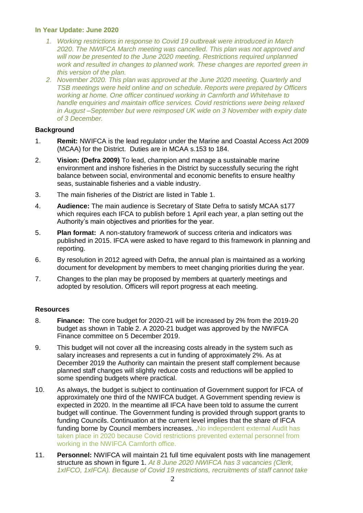#### **In Year Update: June 2020**

- *1. Working restrictions in response to Covid 19 outbreak were introduced in March 2020. The NWIFCA March meeting was cancelled. This plan was not approved and will now be presented to the June 2020 meeting. Restrictions required unplanned work and resulted in changes to planned work. These changes are reported green in this version of the plan.*
- *2. November 2020. This plan was approved at the June 2020 meeting. Quarterly and TSB meetings were held online and on schedule. Reports were prepared by Officers working at home. One officer continued working in Carnforth and Whitehave to handle enquiries and maintain office services. Covid restrictions were being relaxed in August –September but were reimposed UK wide on 3 November with expiry date of 3 December.*

#### **Background**

- 1. **Remit:** NWIFCA is the lead regulator under the Marine and Coastal Access Act 2009 (MCAA) for the District. Duties are in MCAA s.153 to 184.
- 2. **Vision: (Defra 2009)** To lead, champion and manage a sustainable marine environment and inshore fisheries in the District by successfully securing the right balance between social, environmental and economic benefits to ensure healthy seas, sustainable fisheries and a viable industry.
- 3. The main fisheries of the District are listed in Table 1.
- 4. **Audience:** The main audience is Secretary of State Defra to satisfy MCAA s177 which requires each IFCA to publish before 1 April each year, a plan setting out the Authority's main objectives and priorities for the year.
- 5. **Plan format:** A non-statutory framework of success criteria and indicators was published in 2015. IFCA were asked to have regard to this framework in planning and reporting.
- 6. By resolution in 2012 agreed with Defra, the annual plan is maintained as a working document for development by members to meet changing priorities during the year.
- 7. Changes to the plan may be proposed by members at quarterly meetings and adopted by resolution. Officers will report progress at each meeting.

#### **Resources**

- 8. **Finance:** The core budget for 2020-21 will be increased by 2% from the 2019-20 budget as shown in Table 2. A 2020-21 budget was approved by the NWIFCA Finance committee on 5 December 2019.
- 9. This budget will not cover all the increasing costs already in the system such as salary increases and represents a cut in funding of approximately 2%. As at December 2019 the Authority can maintain the present staff complement because planned staff changes will slightly reduce costs and reductions will be applied to some spending budgets where practical.
- 10. As always, the budget is subject to continuation of Government support for IFCA of approximately one third of the NWIFCA budget. A Government spending review is expected in 2020. In the meantime all IFCA have been told to assume the current budget will continue. The Government funding is provided through support grants to funding Councils. Continuation at the current level implies that the share of IFCA funding borne by Council members increases. No independent external Audit has taken place in 2020 because Covid restrictions prevented external personnel from working in the NWIFCA Carnforth office.
- 11. **Personnel:** NWIFCA will maintain 21 full time equivalent posts with line management structure as shown in figure 1. *At 8 June 2020 NWIFCA has 3 vacancies (Clerk, 1xIFCO, 1xIFCA). Because of Covid 19 restrictions, recruitments of staff cannot take*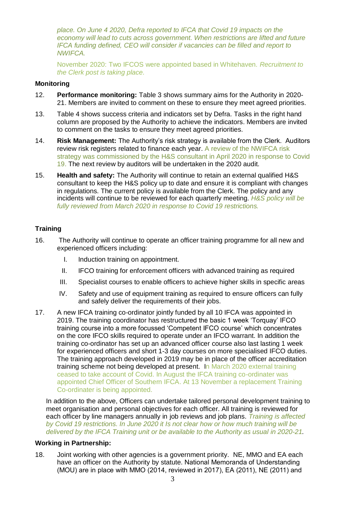*place. On June 4 2020, Defra reported to IFCA that Covid 19 impacts on the economy will lead to cuts across government. When restrictions are lifted and future IFCA funding defined, CEO will consider if vacancies can be filled and report to NWIFCA.*

November 2020: Two IFCOS were appointed based in Whitehaven*. Recruitment to the Clerk post is taking place.*

#### **Monitoring**

- 12. **Performance monitoring:** Table 3 shows summary aims for the Authority in 2020- 21. Members are invited to comment on these to ensure they meet agreed priorities.
- 13. Table 4 shows success criteria and indicators set by Defra. Tasks in the right hand column are proposed by the Authority to achieve the indicators. Members are invited to comment on the tasks to ensure they meet agreed priorities.
- 14. **Risk Management:** The Authority's risk strategy is available from the Clerk. Auditors review risk registers related to finance each year. A review of the NWIFCA risk strategy was commissioned by the H&S consultant in April 2020 in response to Covid 19. The next review by auditors will be undertaken in the 2020 audit.
- 15. **Health and safety:** The Authority will continue to retain an external qualified H&S consultant to keep the H&S policy up to date and ensure it is compliant with changes in regulations. The current policy is available from the Clerk. The policy and any incidents will continue to be reviewed for each quarterly meeting. *H&S policy will be fully reviewed from March 2020 in response to Covid 19 restrictions.*

#### **Training**

- 16. The Authority will continue to operate an officer training programme for all new and experienced officers including:
	- I. Induction training on appointment.
	- II. IFCO training for enforcement officers with advanced training as required
	- III. Specialist courses to enable officers to achieve higher skills in specific areas
	- IV. Safety and use of equipment training as required to ensure officers can fully and safely deliver the requirements of their jobs.
- 17. A new IFCA training co-ordinator jointly funded by all 10 IFCA was appointed in 2019. The training coordinator has restructured the basic 1 week 'Torquay' IFCO training course into a more focussed 'Competent IFCO course' which concentrates on the core IFCO skills required to operate under an IFCO warrant. In addition the training co-ordinator has set up an advanced officer course also last lasting 1 week for experienced officers and short 1-3 day courses on more specialised IFCO duties. The training approach developed in 2019 may be in place of the officer accreditation training scheme not being developed at present. In March 2020 external training ceased to take account of Covid. In August the IFCA training co-ordinater was appointed Chief Officer of Southern IFCA. At 13 November a replacement Training Co-ordinater is being appointed.

In addition to the above, Officers can undertake tailored personal development training to meet organisation and personal objectives for each officer. All training is reviewed for each officer by line managers annually in job reviews and job plans. *Training is affected by Covid 19 restrictions. In June 2020 it Is not clear how or how much training will be delivered by the IFCA Training unit or be available to the Authority as usual in 2020-21.* 

#### **Working in Partnership:**

18. Joint working with other agencies is a government priority. NE, MMO and EA each have an officer on the Authority by statute. National Memoranda of Understanding (MOU) are in place with MMO (2014, reviewed in 2017), EA (2011), NE (2011) and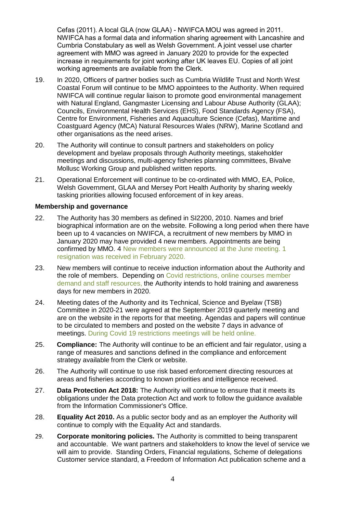Cefas (2011). A local GLA (now GLAA) - NWIFCA MOU was agreed in 2011. NWIFCA has a formal data and information sharing agreement with Lancashire and Cumbria Constabulary as well as Welsh Government. A joint vessel use charter agreement with MMO was agreed in January 2020 to provide for the expected increase in requirements for joint working after UK leaves EU. Copies of all joint working agreements are available from the Clerk.

- 19. In 2020, Officers of partner bodies such as Cumbria Wildlife Trust and North West Coastal Forum will continue to be MMO appointees to the Authority. When required NWIFCA will continue regular liaison to promote good environmental management with Natural England, Gangmaster Licensing and Labour Abuse Authority (GLAA); Councils, Environmental Health Services (EHS), Food Standards Agency (FSA), Centre for Environment, Fisheries and Aquaculture Science (Cefas), Maritime and Coastguard Agency (MCA) Natural Resources Wales (NRW), Marine Scotland and other organisations as the need arises.
- 20. The Authority will continue to consult partners and stakeholders on policy development and byelaw proposals through Authority meetings, stakeholder meetings and discussions, multi-agency fisheries planning committees, Bivalve Mollusc Working Group and published written reports.
- 21. Operational Enforcement will continue to be co-ordinated with MMO, EA, Police, Welsh Government, GLAA and Mersey Port Health Authority by sharing weekly tasking priorities allowing focused enforcement of in key areas.

#### **Membership and governance**

- 22. The Authority has 30 members as defined in SI2200, 2010. Names and brief biographical information are on the website. Following a long period when there have been up to 4 vacancies on NWIFCA, a recruitment of new members by MMO in January 2020 may have provided 4 new members. Appointments are being confirmed by MMO. 4 New members were announced at the June meeting. 1 resignation was received in February 2020.
- 23. New members will continue to receive induction information about the Authority and the role of members. Depending on Covid restrictions, online courses member demand and staff resources, the Authority intends to hold training and awareness days for new members in 2020.
- 24. Meeting dates of the Authority and its Technical, Science and Byelaw (TSB) Committee in 2020-21 were agreed at the September 2019 quarterly meeting and are on the website in the reports for that meeting. Agendas and papers will continue to be circulated to members and posted on the website 7 days in advance of meetings. During Covid 19 restrictions meetings will be held online.
- 25. **Compliance:** The Authority will continue to be an efficient and fair regulator, using a range of measures and sanctions defined in the compliance and enforcement strategy available from the Clerk or website.
- 26. The Authority will continue to use risk based enforcement directing resources at areas and fisheries according to known priorities and intelligence received.
- 27. **Data Protection Act 2018:** The Authority will continue to ensure that it meets its obligations under the Data protection Act and work to follow the guidance available from the Information Commissioner's Office.
- 28. **Equality Act 2010.** As a public sector body and as an employer the Authority will continue to comply with the Equality Act and standards.
- 29. **Corporate monitoring policies.** The Authority is committed to being transparent and accountable. We want partners and stakeholders to know the level of service we will aim to provide. Standing Orders, Financial regulations, Scheme of delegations Customer service standard, a Freedom of Information Act publication scheme and a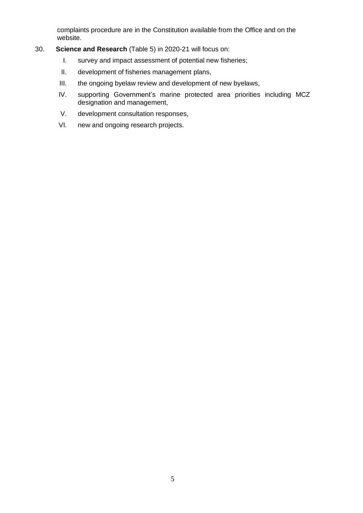complaints procedure are in the Constitution available from the Office and on the website.

#### 30. **Science and Research** (Table 5) in 2020-21 will focus on:

- I. survey and impact assessment of potential new fisheries;
- II. development of fisheries management plans,
- III. the ongoing byelaw review and development of new byelaws,
- IV. supporting Government's marine protected area priorities including MCZ designation and management,
- V. development consultation responses,
- VI. new and ongoing research projects.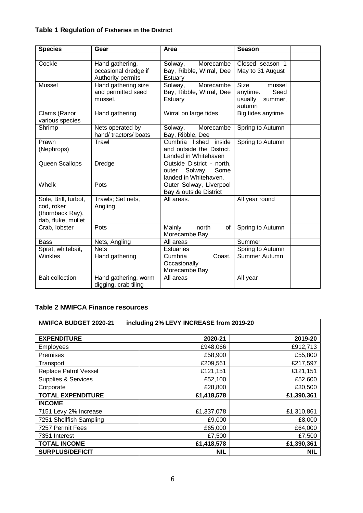### **Table 1 Regulation of Fisheries in the District**

| <b>Species</b>                                                               | Gear                                                         | Area                                                                           | <b>Season</b>                                                             |  |
|------------------------------------------------------------------------------|--------------------------------------------------------------|--------------------------------------------------------------------------------|---------------------------------------------------------------------------|--|
|                                                                              |                                                              |                                                                                |                                                                           |  |
| Cockle                                                                       | Hand gathering,<br>occasional dredge if<br>Authority permits | Morecambe<br>Solway,<br>Bay, Ribble, Wirral, Dee<br>Estuary                    | Closed season 1<br>May to 31 August                                       |  |
| Mussel                                                                       | Hand gathering size<br>and permitted seed<br>mussel.         | Morecambe<br>Solway,<br>Bay, Ribble, Wirral, Dee<br>Estuary                    | <b>Size</b><br>mussel<br>Seed<br>anytime.<br>usually<br>summer,<br>autumn |  |
| Clams (Razor<br>various species                                              | Hand gathering                                               | Wirral on large tides                                                          | Big tides anytime                                                         |  |
| Shrimp                                                                       | Nets operated by<br>hand/ tractors/ boats                    | Morecambe<br>Solway,<br>Bay, Ribble, Dee                                       | Spring to Autumn                                                          |  |
| Prawn<br>(Nephrops)                                                          | Trawl                                                        | Cumbria fished inside<br>and outside the District.<br>Landed in Whitehaven     | Spring to Autumn                                                          |  |
| Queen Scallops                                                               | <b>Dredge</b>                                                | Outside District - north,<br>Some<br>Solway,<br>outer<br>landed in Whitehaven. |                                                                           |  |
| Whelk                                                                        | Pots                                                         | Outer Solway, Liverpool<br>Bay & outside District                              |                                                                           |  |
| Sole, Brill, turbot,<br>cod, roker<br>(thornback Ray),<br>dab, fluke, mullet | Trawls; Set nets,<br>Angling                                 | All areas.                                                                     | All year round                                                            |  |
| Crab, lobster                                                                | Pots                                                         | Mainly<br>north<br>of<br>Morecambe Bay                                         | Spring to Autumn                                                          |  |
| <b>Bass</b>                                                                  | Nets, Angling                                                | All areas                                                                      | Summer                                                                    |  |
| Sprat, whitebait,                                                            | <b>Nets</b>                                                  | <b>Estuaries</b>                                                               | Spring to Autumn                                                          |  |
| <b>Winkles</b>                                                               | Hand gathering                                               | Cumbria<br>Coast.<br>Occasionally<br>Morecambe Bay                             | Summer Autumn                                                             |  |
| <b>Bait collection</b>                                                       | Hand gathering, worm<br>digging, crab tiling                 | All areas                                                                      | All year                                                                  |  |

## **Table 2 NWIFCA Finance resources**

| <b>NWIFCA BUDGET 2020-21</b><br>including 2% LEVY INCREASE from 2019-20 |            |            |  |  |  |
|-------------------------------------------------------------------------|------------|------------|--|--|--|
| <b>EXPENDITURE</b>                                                      | 2020-21    | 2019-20    |  |  |  |
| <b>Employees</b>                                                        | £948,066   | £912,713   |  |  |  |
| <b>Premises</b>                                                         | £58,900    | £55,800    |  |  |  |
| Transport                                                               | £209,561   | £217,597   |  |  |  |
| Replace Patrol Vessel                                                   | £121,151   | £121,151   |  |  |  |
| <b>Supplies &amp; Services</b>                                          | £52,100    | £52,600    |  |  |  |
| Corporate                                                               | £28,800    | £30,500    |  |  |  |
| <b>TOTAL EXPENDITURE</b>                                                | £1,418,578 | £1,390,361 |  |  |  |
| <b>INCOME</b>                                                           |            |            |  |  |  |
| 7151 Levy 2% Increase                                                   | £1,337,078 | £1,310,861 |  |  |  |
| 7251 Shellfish Sampling                                                 | £9,000     | £8,000     |  |  |  |
| 7257 Permit Fees                                                        | £65,000    | £64,000    |  |  |  |
| 7351 Interest                                                           | £7,500     | £7,500     |  |  |  |
| <b>TOTAL INCOME</b>                                                     | £1,418,578 | £1,390,361 |  |  |  |
| <b>SURPLUS/DEFICIT</b>                                                  | <b>NIL</b> | <b>NIL</b> |  |  |  |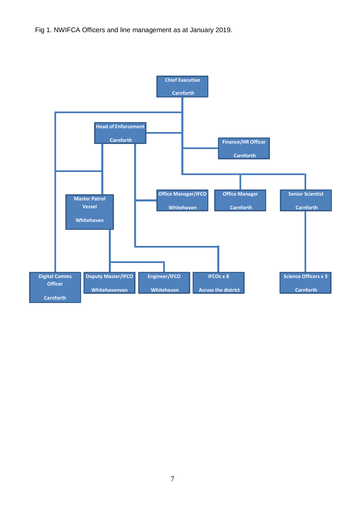Fig 1. NWIFCA Officers and line management as at January 2019.

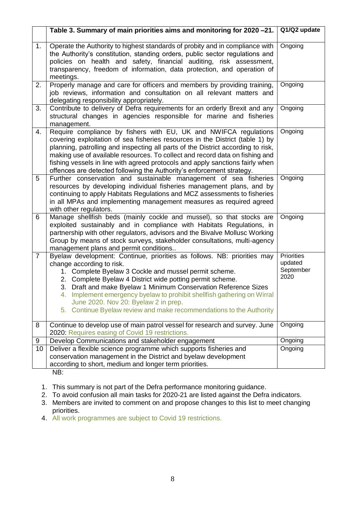|                | Table 3. Summary of main priorities aims and monitoring for 2020-21.                                                                                                                                                                                                                                                                                                                                                                                                                       | Q1/Q2 update                                      |
|----------------|--------------------------------------------------------------------------------------------------------------------------------------------------------------------------------------------------------------------------------------------------------------------------------------------------------------------------------------------------------------------------------------------------------------------------------------------------------------------------------------------|---------------------------------------------------|
| 1.             | Operate the Authority to highest standards of probity and in compliance with<br>the Authority's constitution, standing orders, public sector regulations and<br>policies on health and safety, financial auditing, risk assessment,<br>transparency, freedom of information, data protection, and operation of<br>meetings.                                                                                                                                                                | Ongoing                                           |
| 2.             | Properly manage and care for officers and members by providing training,<br>job reviews, information and consultation on all relevant matters and<br>delegating responsibility appropriately.                                                                                                                                                                                                                                                                                              | Ongoing                                           |
| 3.             | Contribute to delivery of Defra requirements for an orderly Brexit and any<br>structural changes in agencies responsible for marine and fisheries<br>management.                                                                                                                                                                                                                                                                                                                           | Ongoing                                           |
| 4.             | Require compliance by fishers with EU, UK and NWIFCA regulations<br>covering exploitation of sea fisheries resources in the District (table 1) by<br>planning, patrolling and inspecting all parts of the District according to risk,<br>making use of available resources. To collect and record data on fishing and<br>fishing vessels in line with agreed protocols and apply sanctions fairly when<br>offences are detected following the Authority's enforcement strategy.            | Ongoing                                           |
| 5              | Further conservation and sustainable management of sea fisheries<br>resources by developing individual fisheries management plans, and by<br>continuing to apply Habitats Regulations and MCZ assessments to fisheries<br>in all MPAs and implementing management measures as required agreed<br>with other regulators.                                                                                                                                                                    | Ongoing                                           |
| 6              | Manage shellfish beds (mainly cockle and mussel), so that stocks are<br>exploited sustainably and in compliance with Habitats Regulations, in<br>partnership with other regulators, advisors and the Bivalve Mollusc Working<br>Group by means of stock surveys, stakeholder consultations, multi-agency<br>management plans and permit conditions                                                                                                                                         | Ongoing                                           |
| $\overline{7}$ | Byelaw development: Continue, priorities as follows. NB: priorities may<br>change according to risk.<br>1. Complete Byelaw 3 Cockle and mussel permit scheme.<br>2. Complete Byelaw 4 District wide potting permit scheme.<br>3. Draft and make Byelaw 1 Minimum Conservation Reference Sizes<br>Implement emergency byelaw to prohibit shellfish gathering on Wirral<br>4.<br>June 2020. Nov 20: Byelaw 2 in prep.<br>5. Continue Byelaw review and make recommendations to the Authority | <b>Priorities</b><br>updated<br>September<br>2020 |
| 8              | Continue to develop use of main patrol vessel for research and survey. June<br>2020: Requires easing of Covid 19 restrictions.                                                                                                                                                                                                                                                                                                                                                             | Ongoing                                           |
| 9              | Develop Communications and stakeholder engagement                                                                                                                                                                                                                                                                                                                                                                                                                                          | Ongoing                                           |
| 10             | Deliver a flexible science programme which supports fisheries and<br>conservation management in the District and byelaw development<br>according to short, medium and longer term priorities.                                                                                                                                                                                                                                                                                              | Ongoing                                           |
|                | NB:                                                                                                                                                                                                                                                                                                                                                                                                                                                                                        |                                                   |

1. This summary is not part of the Defra performance monitoring guidance.

2. To avoid confusion all main tasks for 2020-21 are listed against the Defra indicators.

3. Members are invited to comment on and propose changes to this list to meet changing priorities.

4. All work programmes are subject to Covid 19 restrictions.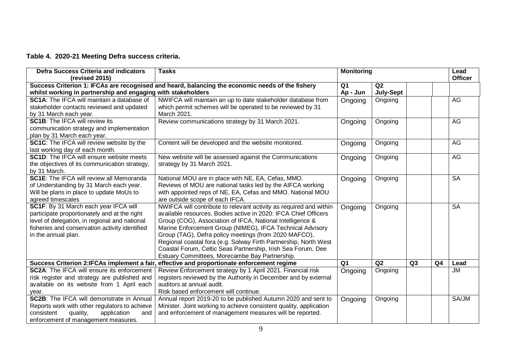### **Table 4. 2020-21 Meeting Defra success criteria.**

| <b>Defra Success Criteria and indicators</b><br>(revised 2015)                                                                                                                                                  | <b>Tasks</b>                                                                                                                                                                                                                                                                                                                                                                                                                                                                                                   | <b>Monitoring</b> |                  |                | Lead<br><b>Officer</b> |           |
|-----------------------------------------------------------------------------------------------------------------------------------------------------------------------------------------------------------------|----------------------------------------------------------------------------------------------------------------------------------------------------------------------------------------------------------------------------------------------------------------------------------------------------------------------------------------------------------------------------------------------------------------------------------------------------------------------------------------------------------------|-------------------|------------------|----------------|------------------------|-----------|
|                                                                                                                                                                                                                 | Success Criterion 1: IFCAs are recognised and heard, balancing the economic needs of the fishery                                                                                                                                                                                                                                                                                                                                                                                                               | Q1                | Q <sub>2</sub>   |                |                        |           |
| whilst working in partnership and engaging with stakeholders                                                                                                                                                    |                                                                                                                                                                                                                                                                                                                                                                                                                                                                                                                | Ap - Jun          | <b>July-Sept</b> |                |                        |           |
| SC1A: The IFCA will maintain a database of<br>stakeholder contacts reviewed and updated<br>by 31 March each year.                                                                                               | NWIFCA will maintain an up to date stakeholder database from<br>which permit schemes will be operated to be reviewed by 31<br>March 2021.                                                                                                                                                                                                                                                                                                                                                                      | Ongoing           | Ongoing          |                |                        | AG        |
| <b>SC1B:</b> The IFCA will review its<br>communication strategy and implementation<br>plan by 31 March each year.                                                                                               | Review communications strategy by 31 March 2021.                                                                                                                                                                                                                                                                                                                                                                                                                                                               | Ongoing           | Ongoing          |                |                        | <b>AG</b> |
| SC1C: The IFCA will review website by the<br>last working day of each month.                                                                                                                                    | Content will be developed and the website monitored.                                                                                                                                                                                                                                                                                                                                                                                                                                                           | Ongoing           | Ongoing          |                |                        | AG        |
| <b>SC1D:</b> The IFCA will ensure website meets<br>the objectives of its communication strategy,<br>by 31 March.                                                                                                | New website will be assessed against the Communications<br>strategy by 31 March 2021.                                                                                                                                                                                                                                                                                                                                                                                                                          | Ongoing           | Ongoing          |                |                        | AG        |
| <b>SC1E:</b> The IFCA will review all Memoranda<br>of Understanding by 31 March each year.<br>Will be plans in place to update MoUs to<br>agreed timescales                                                     | National MOU are in place with NE, EA, Cefas, MMO.<br>Reviews of MOU are national tasks led by the AIFCA working<br>with appointed reps of NE, EA, Cefas and MMO. National MOU<br>are outside scope of each IFCA.                                                                                                                                                                                                                                                                                              | Ongoing           | Ongoing          |                |                        | <b>SA</b> |
| SC1F: By 31 March each year IFCA will<br>participate proportionately and at the right<br>level of delegation, in regional and national<br>fisheries and conservation activity identified<br>in the annual plan. | NWIFCA will contribute to relevant activity as required and within<br>available resources. Bodies active in 2020: IFCA Chief Officers<br>Group (COG), Association of IFCA, National Intelligence &<br>Marine Enforcement Group (NIMEG), IFCA Technical Advisory<br>Group (TAG), Defra policy meetings (from 2020 MAFCO),<br>Regional coastal fora (e.g. Solway Firth Partnership, North West<br>Coastal Forum, Celtic Seas Partnership, Irish Sea Forum, Dee<br>Estuary Committees, Morecambe Bay Partnership. | Ongoing           | Ongoing          |                |                        | <b>SA</b> |
|                                                                                                                                                                                                                 | Success Criterion 2:IFCAs implement a fair, effective and proportionate enforcement regime                                                                                                                                                                                                                                                                                                                                                                                                                     | Q <sub>1</sub>    | Q2               | Q <sub>3</sub> | Q <sub>4</sub>         | Lead      |
| <b>SC2A:</b> The IFCA will ensure its enforcement<br>risk register and strategy are published and<br>available on its website from 1 April each<br>year.                                                        | Review Enforcement strategy by 1 April 2021. Financial risk<br>registers reviewed by the Authority in December and by external<br>auditors at annual audit.<br>Risk based enforcement will continue.                                                                                                                                                                                                                                                                                                           | Ongoing           | Ongoing          |                |                        | JМ        |
| <b>SC2B:</b> The IFCA will demonstrate in Annual<br>Reports work with other regulators to achieve<br>consistent<br>quality,<br>application<br>and<br>enforcement of management measures.                        | Annual report 2019-20 to be published Autumn 2020 and sent to<br>Minister. Joint working to achieve consistent quality, application<br>and enforcement of management measures will be reported.                                                                                                                                                                                                                                                                                                                | Ongoing           | Ongoing          |                |                        | SA/JM     |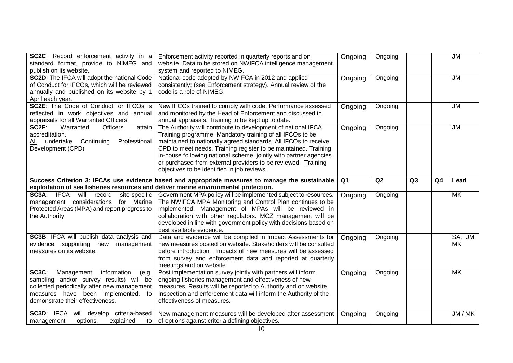| SC2C: Record enforcement activity in a<br>standard format, provide to NIMEG and<br>publish on its website.                                                                                                      | Enforcement activity reported in quarterly reports and on<br>website. Data to be stored on NWIFCA intelligence management<br>system and reported to NIMEG.                                                                                                                                                                                                                                                                                            | Ongoing | Ongoing |    |                | $\overline{\mathsf{JM}}$ |
|-----------------------------------------------------------------------------------------------------------------------------------------------------------------------------------------------------------------|-------------------------------------------------------------------------------------------------------------------------------------------------------------------------------------------------------------------------------------------------------------------------------------------------------------------------------------------------------------------------------------------------------------------------------------------------------|---------|---------|----|----------------|--------------------------|
| SC2D: The IFCA will adopt the national Code<br>of Conduct for IFCOs, which will be reviewed<br>annually and published on its website by 1<br>April each year.                                                   | National code adopted by NWIFCA in 2012 and applied<br>consistently; (see Enforcement strategy). Annual review of the<br>code is a role of NIMEG.                                                                                                                                                                                                                                                                                                     | Ongoing | Ongoing |    |                | <b>JM</b>                |
| SC2E: The Code of Conduct for IFCOs is<br>reflected in work objectives and annual<br>appraisals for all Warranted Officers.                                                                                     | New IFCOs trained to comply with code. Performance assessed<br>and monitored by the Head of Enforcement and discussed in<br>annual appraisals. Training to be kept up to date.                                                                                                                                                                                                                                                                        | Ongoing | Ongoing |    |                | <b>JM</b>                |
| SC2F:<br>Warranted<br><b>Officers</b><br>attain<br>accreditation.<br>All undertake Continuing<br>Professional<br>Development (CPD).                                                                             | The Authority will contribute to development of national IFCA<br>Training programme. Mandatory training of all IFCOs to be<br>maintained to nationally agreed standards. All IFCOs to receive<br>CPD to meet needs. Training register to be maintained. Training<br>in-house following national scheme, jointly with partner agencies<br>or purchased from external providers to be reviewed. Training<br>objectives to be identified in job reviews. | Ongoing | Ongoing |    |                | <b>JM</b>                |
| exploitation of sea fisheries resources and deliver marine environmental protection.                                                                                                                            | Success Criterion 3: IFCAs use evidence based and appropriate measures to manage the sustainable                                                                                                                                                                                                                                                                                                                                                      | Q1      | Q2      | Q3 | Q <sub>4</sub> | Lead                     |
| <b>SC3A:</b> IFCA will record<br>site-specific<br>management considerations for Marine<br>Protected Areas (MPA) and report progress to<br>the Authority                                                         | Government MPA policy will be implemented subject to resources.<br>The NWIFCA MPA Monitoring and Control Plan continues to be<br>implemented. Management of MPAs will be reviewed in<br>collaboration with other regulators. MCZ management will be<br>developed in line with government policy with decisions based on                                                                                                                               | Ongoing | Ongoing |    |                | MK                       |
|                                                                                                                                                                                                                 | best available evidence.                                                                                                                                                                                                                                                                                                                                                                                                                              |         |         |    |                |                          |
| SC3B: IFCA will publish data analysis and<br>evidence supporting new<br>management<br>measures on its website.                                                                                                  | Data and evidence will be compiled in Impact Assessments for<br>new measures posted on website. Stakeholders will be consulted<br>before introduction. Impacts of new measures will be assessed<br>from survey and enforcement data and reported at quarterly<br>meetings and on website.                                                                                                                                                             | Ongoing | Ongoing |    |                | SA, JM,<br><b>MK</b>     |
| SC3C:<br>Management<br>information<br>(e.g.<br>sampling and/or survey results) will be<br>collected periodically after new management<br>measures have been implemented, to<br>demonstrate their effectiveness. | Post implementation survey jointly with partners will inform<br>ongoing fisheries management and effectiveness of new<br>measures. Results will be reported to Authority and on website.<br>Inspection and enforcement data will inform the Authority of the<br>effectiveness of measures.                                                                                                                                                            | Ongoing | Ongoing |    |                | <b>MK</b>                |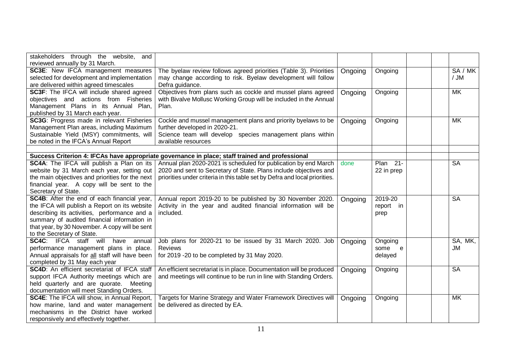| stakeholders through the website, and              |                                                                                                 |         |                 |           |
|----------------------------------------------------|-------------------------------------------------------------------------------------------------|---------|-----------------|-----------|
| reviewed annually by 31 March.                     |                                                                                                 |         |                 |           |
| SC3E: New IFCA management measures                 | The byelaw review follows agreed priorities (Table 3). Priorities                               | Ongoing | Ongoing         | SA / MK   |
| selected for development and implementation        | may change according to risk. Byelaw development will follow                                    |         |                 | / JM      |
| are delivered within agreed timescales             | Defra guidance.                                                                                 |         |                 |           |
| <b>SC3F:</b> The IFCA will include shared agreed   | Objectives from plans such as cockle and mussel plans agreed                                    | Ongoing | Ongoing         | <b>MK</b> |
| objectives and actions from Fisheries              | with Bivalve Mollusc Working Group will be included in the Annual                               |         |                 |           |
| Management Plans in its Annual Plan,               | Plan.                                                                                           |         |                 |           |
| published by 31 March each year.                   |                                                                                                 |         |                 |           |
| SC3G: Progress made in relevant Fisheries          | Cockle and mussel management plans and priority byelaws to be                                   | Ongoing | Ongoing         | <b>MK</b> |
| Management Plan areas, including Maximum           | further developed in 2020-21.                                                                   |         |                 |           |
| Sustainable Yield (MSY) commitments, will          | Science team will develop species management plans within                                       |         |                 |           |
| be noted in the IFCA's Annual Report               | available resources                                                                             |         |                 |           |
|                                                    |                                                                                                 |         |                 |           |
|                                                    | Success Criterion 4: IFCAs have appropriate governance in place; staff trained and professional |         |                 |           |
| SC4A: The IFCA will publish a Plan on its          | Annual plan 2020-2021 is scheduled for publication by end March                                 | done    | <b>Plan 21-</b> | <b>SA</b> |
| website by 31 March each year, setting out         | 2020 and sent to Secretary of State. Plans include objectives and                               |         | 22 in prep      |           |
| the main objectives and priorities for the next    | priorities under criteria in this table set by Defra and local priorities.                      |         |                 |           |
| financial year. A copy will be sent to the         |                                                                                                 |         |                 |           |
| Secretary of State.                                |                                                                                                 |         |                 |           |
| <b>SC4B:</b> After the end of each financial year, | Annual report 2019-20 to be published by 30 November 2020.                                      | Ongoing | 2019-20         | <b>SA</b> |
| the IFCA will publish a Report on its website      | Activity in the year and audited financial information will be                                  |         | report in       |           |
| describing its activities, performance and a       | included.                                                                                       |         | prep            |           |
| summary of audited financial information in        |                                                                                                 |         |                 |           |
| that year, by 30 November. A copy will be sent     |                                                                                                 |         |                 |           |
| to the Secretary of State.                         |                                                                                                 |         |                 |           |
| <b>SC4C:</b> IFCA staff will<br>have<br>annual     | Job plans for 2020-21 to be issued by 31 March 2020. Job                                        | Ongoing | Ongoing         | SA, MK,   |
| performance management plans in place.             | <b>Reviews</b>                                                                                  |         | some<br>e       | JM        |
| Annual appraisals for all staff will have been     | for 2019 -20 to be completed by 31 May 2020.                                                    |         | delayed         |           |
| completed by 31 May each year                      |                                                                                                 |         |                 |           |
| SC4D: An efficient secretariat of IFCA staff       | An efficient secretariat is in place. Documentation will be produced                            | Ongoing | Ongoing         | <b>SA</b> |
| support IFCA Authority meetings which are          | and meetings will continue to be run in line with Standing Orders.                              |         |                 |           |
| held quarterly and are quorate.<br>Meeting         |                                                                                                 |         |                 |           |
| documentation will meet Standing Orders.           |                                                                                                 |         |                 |           |
| SC4E: The IFCA will show, in Annual Report,        | Targets for Marine Strategy and Water Framework Directives will                                 | Ongoing | Ongoing         | MK        |
| how marine, land and water management              | be delivered as directed by EA.                                                                 |         |                 |           |
| mechanisms in the District have worked             |                                                                                                 |         |                 |           |
| responsively and effectively together.             |                                                                                                 |         |                 |           |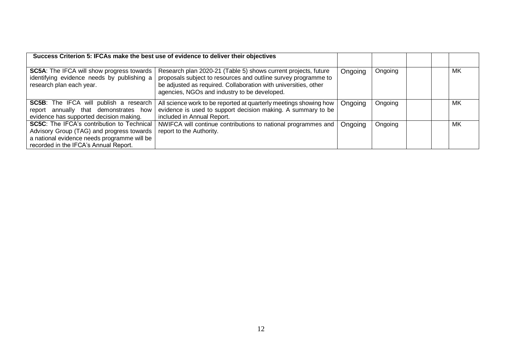| Success Criterion 5: IFCAs make the best use of evidence to deliver their objectives                                                                                                   |                                                                                                                                                                                                                                                     |         |         |    |
|----------------------------------------------------------------------------------------------------------------------------------------------------------------------------------------|-----------------------------------------------------------------------------------------------------------------------------------------------------------------------------------------------------------------------------------------------------|---------|---------|----|
| <b>SC5A:</b> The IFCA will show progress towards<br>identifying evidence needs by publishing a<br>research plan each year.                                                             | Research plan 2020-21 (Table 5) shows current projects, future<br>proposals subject to resources and outline survey programme to<br>be adjusted as required. Collaboration with universities, other<br>agencies, NGOs and industry to be developed. | Ongoing | Ongoing | MK |
| <b>SC5B:</b> The IFCA will publish a research<br>report annually that demonstrates how<br>evidence has supported decision making.                                                      | All science work to be reported at quarterly meetings showing how<br>evidence is used to support decision making. A summary to be<br>included in Annual Report.                                                                                     | Ongoing | Ongoing | МK |
| <b>SC5C:</b> The IFCA's contribution to Technical<br>Advisory Group (TAG) and progress towards<br>a national evidence needs programme will be<br>recorded in the IFCA's Annual Report. | NWIFCA will continue contributions to national programmes and<br>report to the Authority.                                                                                                                                                           | Ongoing | Ongoing | МK |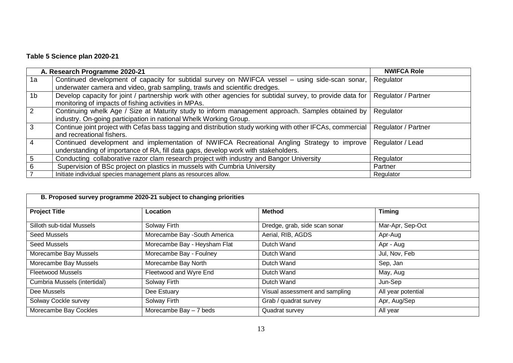# **Table 5 Science plan 2020-21**

|                | A. Research Programme 2020-21                                                                              | <b>NWIFCA Role</b>  |
|----------------|------------------------------------------------------------------------------------------------------------|---------------------|
| 1a             | Continued development of capacity for subtidal survey on NWIFCA vessel – using side-scan sonar,            | Regulator           |
|                | underwater camera and video, grab sampling, trawls and scientific dredges.                                 |                     |
| 1 <sub>b</sub> | Develop capacity for joint / partnership work with other agencies for subtidal survey, to provide data for | Regulator / Partner |
|                | monitoring of impacts of fishing activities in MPAs.                                                       |                     |
| 2              | Continuing whelk Age / Size at Maturity study to inform management approach. Samples obtained by           | Regulator           |
|                | industry. On-going participation in national Whelk Working Group.                                          |                     |
| 3              | Continue joint project with Cefas bass tagging and distribution study working with other IFCAs, commercial | Regulator / Partner |
|                | and recreational fishers.                                                                                  |                     |
| 4              | Continued development and implementation of NWIFCA Recreational Angling Strategy to improve                | Regulator / Lead    |
|                | understanding of importance of RA, fill data gaps, develop work with stakeholders.                         |                     |
| 5              | Conducting collaborative razor clam research project with industry and Bangor University                   | Regulator           |
| 6              | Supervision of BSc project on plastics in mussels with Cumbria University                                  | Partner             |
|                | Initiate individual species management plans as resources allow.                                           | Regulator           |

| B. Proposed survey programme 2020-21 subject to changing priorities |                              |                                |                    |  |  |  |
|---------------------------------------------------------------------|------------------------------|--------------------------------|--------------------|--|--|--|
| <b>Project Title</b>                                                | Location                     | <b>Method</b>                  | <b>Timing</b>      |  |  |  |
| Silloth sub-tidal Mussels                                           | Solway Firth                 | Dredge, grab, side scan sonar  | Mar-Apr, Sep-Oct   |  |  |  |
| Seed Mussels                                                        | Morecambe Bay -South America | Aerial, RIB, AGDS              | Apr-Aug            |  |  |  |
| Seed Mussels                                                        | Morecambe Bay - Heysham Flat | Dutch Wand                     | Apr - Aug          |  |  |  |
| Morecambe Bay Mussels                                               | Morecambe Bay - Foulney      | Dutch Wand                     | Jul, Nov, Feb      |  |  |  |
| Morecambe Bay Mussels                                               | Morecambe Bay North          | Dutch Wand                     | Sep, Jan           |  |  |  |
| <b>Fleetwood Mussels</b>                                            | Fleetwood and Wyre End       | Dutch Wand                     | May, Aug           |  |  |  |
| Cumbria Mussels (intertidal)                                        | Solway Firth                 | Dutch Wand                     | Jun-Sep            |  |  |  |
| Dee Mussels                                                         | Dee Estuary                  | Visual assessment and sampling | All year potential |  |  |  |
| Solway Cockle survey                                                | Solway Firth                 | Grab / quadrat survey          | Apr, Aug/Sep       |  |  |  |
| Morecambe Bay Cockles                                               | Morecambe Bay $-7$ beds      | Quadrat survey                 | All year           |  |  |  |